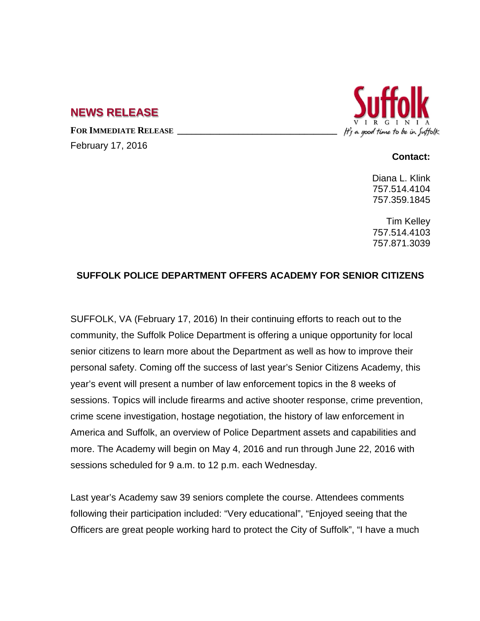## **NEWS RELEASE**

FOR **IMMEDIATE RELEASE** 

February 17, 2016



## **Contact:**

Diana L. Klink 757.514.4104 757.359.1845

Tim Kelley 757.514.4103 757.871.3039

## **SUFFOLK POLICE DEPARTMENT OFFERS ACADEMY FOR SENIOR CITIZENS**

SUFFOLK, VA (February 17, 2016) In their continuing efforts to reach out to the community, the Suffolk Police Department is offering a unique opportunity for local senior citizens to learn more about the Department as well as how to improve their personal safety. Coming off the success of last year's Senior Citizens Academy, this year's event will present a number of law enforcement topics in the 8 weeks of sessions. Topics will include firearms and active shooter response, crime prevention, crime scene investigation, hostage negotiation, the history of law enforcement in America and Suffolk, an overview of Police Department assets and capabilities and more. The Academy will begin on May 4, 2016 and run through June 22, 2016 with sessions scheduled for 9 a.m. to 12 p.m. each Wednesday.

Last year's Academy saw 39 seniors complete the course. Attendees comments following their participation included: "Very educational", "Enjoyed seeing that the Officers are great people working hard to protect the City of Suffolk", "I have a much